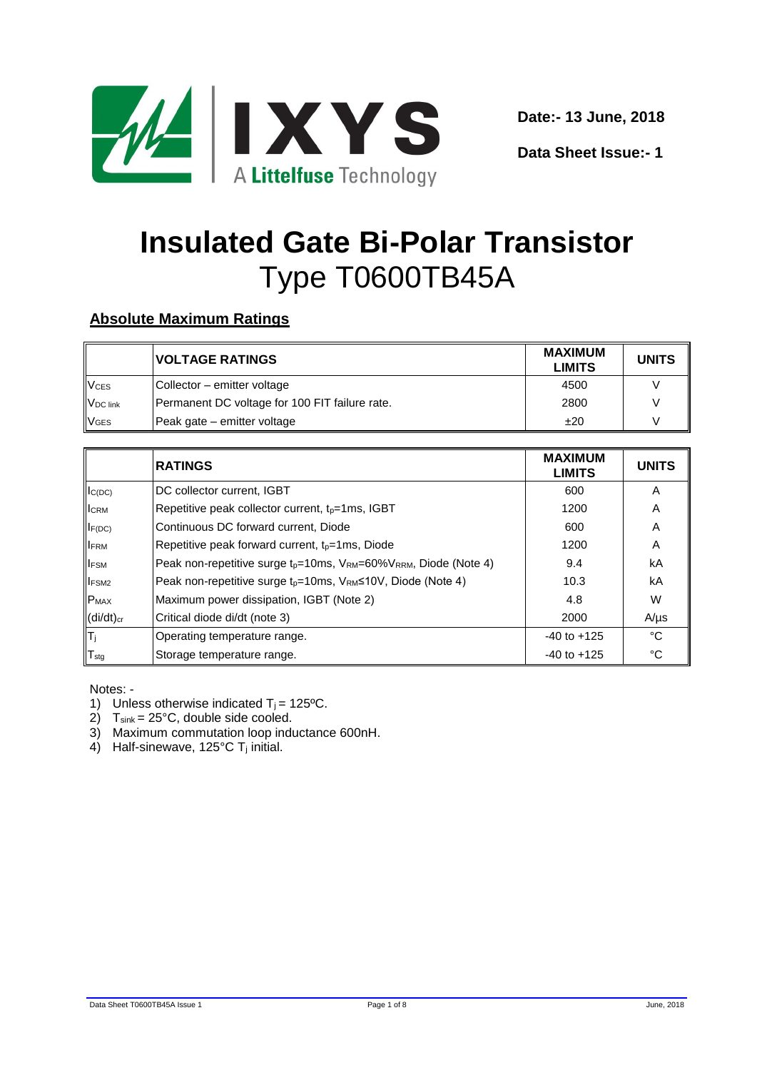

**Data Sheet Issue:- 1**

# **Insulated Gate Bi-Polar Transistor** Type T0600TB45A

### **Absolute Maximum Ratings**

|                        | <b>VOLTAGE RATINGS</b>                         | <b>MAXIMUM</b><br><b>LIMITS</b> | <b>UNITS</b> |
|------------------------|------------------------------------------------|---------------------------------|--------------|
| <b>V<sub>CES</sub></b> | Collector - emitter voltage                    | 4500                            |              |
| V <sub>DC</sub> link   | Permanent DC voltage for 100 FIT failure rate. | 2800                            |              |
| <b>VGES</b>            | Peak gate - emitter voltage                    | ±20                             |              |

|                           | <b>RATINGS</b>                                                                   | <b>MAXIMUM</b><br><b>LIMITS</b> | <b>UNITS</b> |
|---------------------------|----------------------------------------------------------------------------------|---------------------------------|--------------|
| $I_{C(DC)}$               | DC collector current, IGBT                                                       | 600                             | A            |
| <b>I</b> CRM              | Repetitive peak collector current, $t_p = 1$ ms, IGBT                            | 1200                            | A            |
| $I_{F(DC)}$               | Continuous DC forward current, Diode                                             | 600                             | A            |
| <b>IFRM</b>               | Repetitive peak forward current, $t_p = 1$ ms, Diode                             | 1200                            | A            |
| <b>IFSM</b>               | Peak non-repetitive surge $t_p = 10$ ms, $V_{RM} = 60\%V_{RRM}$ , Diode (Note 4) | 9.4                             | kA           |
| <b>IFSM2</b>              | Peak non-repetitive surge $t_p = 10$ ms, $V_{RM} \le 10V$ , Diode (Note 4)       | 10.3                            | kA           |
| $P_{MAX}$                 | Maximum power dissipation, IGBT (Note 2)                                         | 4.8                             | W            |
| $(di/dt)_{cr}$            | Critical diode di/dt (note 3)                                                    | 2000                            | $A/\mu s$    |
| $ \mathsf{T}_\mathrm{j} $ | Operating temperature range.                                                     | $-40$ to $+125$                 | °C           |
| $T_{\text{stg}}$          | Storage temperature range.                                                       | $-40$ to $+125$                 | °C           |

#### Notes: -

- 1) Unless otherwise indicated  $T_j = 125$ °C.
- 2)  $T_{sink} = 25^{\circ}C$ , double side cooled.
- 3) Maximum commutation loop inductance 600nH.
- 4) Half-sinewave,  $125^{\circ}$ C T<sub>i</sub> initial.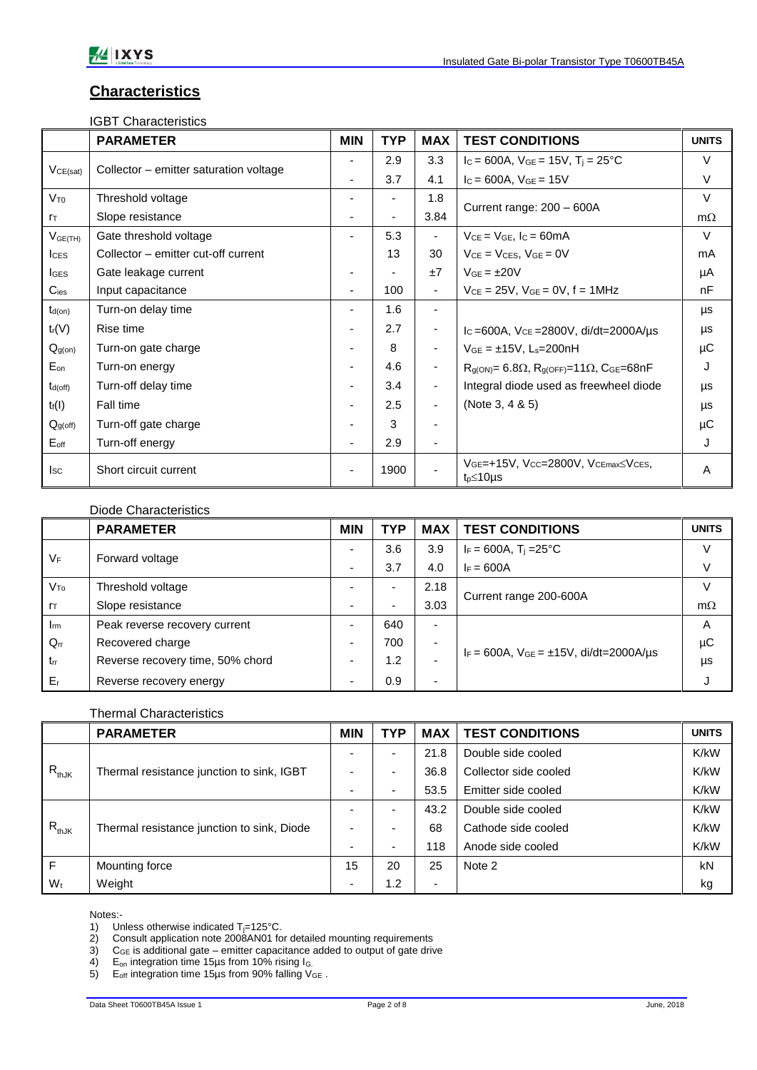### **Characteristics**

IGBT Characteristics

|                     | <b>PARAMETER</b>                       | <b>MIN</b>               | <b>TYP</b>     | <b>MAX</b>               | <b>TEST CONDITIONS</b>                                                    | <b>UNITS</b> |
|---------------------|----------------------------------------|--------------------------|----------------|--------------------------|---------------------------------------------------------------------------|--------------|
| VCE(sat)            | Collector – emitter saturation voltage | $\blacksquare$           | 2.9            | 3.3                      | $I_c = 600A$ , $V_{GE} = 15V$ , $T_i = 25^{\circ}C$                       | V            |
|                     |                                        | $\blacksquare$           | 3.7            | 4.1                      | $I_c = 600A$ , $V_{GE} = 15V$                                             | V            |
| $V_{T0}$            | Threshold voltage                      |                          |                | 1.8                      |                                                                           | $\vee$       |
| $r_{\text{T}}$      | Slope resistance                       |                          | $\blacksquare$ | 3.84                     | Current range: 200 - 600A                                                 | $m\Omega$    |
| $V_{GE(TH)}$        | Gate threshold voltage                 | $\overline{\phantom{0}}$ | 5.3            | $\overline{\phantom{a}}$ | $V_{CE} = V_{GE}$ , $I_C = 60mA$                                          | $\vee$       |
| lc <sub>ES</sub>    | Collector – emitter cut-off current    |                          | 13             | 30                       | $V_{CE} = V_{CES}$ , $V_{GE} = 0V$                                        | mA           |
| <b>I</b> GES        | Gate leakage current                   |                          |                | ±7                       | $VGE = \pm 20V$                                                           | μA           |
| $C_{\text{ies}}$    | Input capacitance                      | $\blacksquare$           | 100            | $\blacksquare$           | $V_{CE} = 25V$ , $V_{GE} = 0V$ , $f = 1MHz$                               | nF           |
| $t_{d(on)}$         | Turn-on delay time                     |                          | 1.6            |                          |                                                                           | μs           |
| $t_r(V)$            | Rise time                              |                          | 2.7            | $\overline{\phantom{a}}$ | $I_c = 600A$ , $V_{CE} = 2800V$ , di/dt=2000A/µs                          | μs           |
| Q <sub>g(on)</sub>  | Turn-on gate charge                    |                          | 8              | $\blacksquare$           | $V_{GE} = \pm 15V$ , L <sub>s</sub> =200nH                                | μC           |
| $E_{on}$            | Turn-on energy                         |                          | 4.6            | $\overline{\phantom{a}}$ | $R_{g(ON)} = 6.8\Omega$ , $R_{g(OFF)} = 11\Omega$ , C <sub>GE</sub> =68nF | J            |
| $t_{d(off)}$        | Turn-off delay time                    |                          | 3.4            | $\overline{\phantom{a}}$ | Integral diode used as freewheel diode                                    | μs           |
| $t_f(I)$            | Fall time                              |                          | 2.5            | $\overline{\phantom{a}}$ | (Note 3, $4 & 5$ )                                                        | μs           |
| Q <sub>g(off)</sub> | Turn-off gate charge                   |                          | 3              | $\blacksquare$           |                                                                           | μC           |
| $E_{\text{off}}$    | Turn-off energy                        | $\blacksquare$           | 2.9            | $\blacksquare$           |                                                                           | J            |
| $I_{SC}$            | Short circuit current                  |                          | 1900           |                          | VGE=+15V, Vcc=2800V, VcEmax≤VcEs,<br>$t_p \leq 10 \mu s$                  | A            |

|                 | Diode Characteristics            |                          |                          |                          |                                                    |              |
|-----------------|----------------------------------|--------------------------|--------------------------|--------------------------|----------------------------------------------------|--------------|
|                 | <b>PARAMETER</b>                 | <b>MIN</b>               | <b>TYP</b>               | <b>MAX</b>               | <b>TEST CONDITIONS</b>                             | <b>UNITS</b> |
| $V_F$           | Forward voltage                  | $\overline{\phantom{0}}$ | 3.6                      | 3.9                      | $I_F = 600A$ , $T_i = 25^{\circ}C$                 | $\vee$       |
|                 |                                  | ٠                        | 3.7                      | 4.0                      | $I_F = 600A$                                       | V            |
| $V_{\text{To}}$ | Threshold voltage                |                          |                          | 2.18                     | Current range 200-600A                             | V            |
| $r_{\text{T}}$  | Slope resistance                 | $\overline{\phantom{0}}$ | $\overline{\phantom{0}}$ | 3.03                     |                                                    | $m\Omega$    |
| $I_{rm}$        | Peak reverse recovery current    | $\overline{\phantom{0}}$ | 640                      | $\overline{\phantom{a}}$ | $I_F = 600A$ , $V_{GE} = \pm 15V$ , di/dt=2000A/us | Α            |
| $Q_{rr}$        | Recovered charge                 | $\overline{\phantom{0}}$ | 700                      | $\overline{\phantom{a}}$ |                                                    | μC           |
| $t_{rr}$        | Reverse recovery time, 50% chord | $\overline{\phantom{0}}$ | 1.2                      |                          |                                                    | μs           |
| $E_{r}$         | Reverse recovery energy          | $\overline{\phantom{0}}$ | 0.9                      | ٠                        |                                                    |              |

#### Thermal Characteristics

|            | <b>PARAMETER</b>                           | <b>MIN</b> | <b>TYP</b> | <b>MAX</b>               | <b>TEST CONDITIONS</b> | <b>UNITS</b> |
|------------|--------------------------------------------|------------|------------|--------------------------|------------------------|--------------|
| $R_{thJK}$ | Thermal resistance junction to sink, IGBT  | ۰          |            | 21.8                     | Double side cooled     | K/kW         |
|            |                                            | ۰          |            | 36.8                     | Collector side cooled  | K/kW         |
|            |                                            | ۰          | -          | 53.5                     | Emitter side cooled    | K/kW         |
| $R_{thJK}$ | Thermal resistance junction to sink, Diode | ۰          |            | 43.2                     | Double side cooled     | K/kW         |
|            |                                            | ۰          |            | 68                       | Cathode side cooled    | K/kW         |
|            |                                            | ۰          |            | 118                      | Anode side cooled      | K/kW         |
| F          | Mounting force                             | 15         | 20         | 25                       | Note 2                 | kN           |
| $W_t$      | Weight                                     | ٠          | 1.2        | $\overline{\phantom{a}}$ |                        | kg           |

Notes:-<br>1) Un

2) Consult application note 2008AN01 for detailed mounting requirements

3)  $C_{GE}$  is additional gate – emitter capacitance added to output of gate drive

4)  $E_{\text{on}}$  integration time 15µs from 10% rising  $I_{\text{G}}$ 

5) E<sub>off</sub> integration time 15µs from 90% falling  $V_{GE}$ .

<sup>1)</sup> Unless otherwise indicated  $T_{j=125^{\circ}C}$ .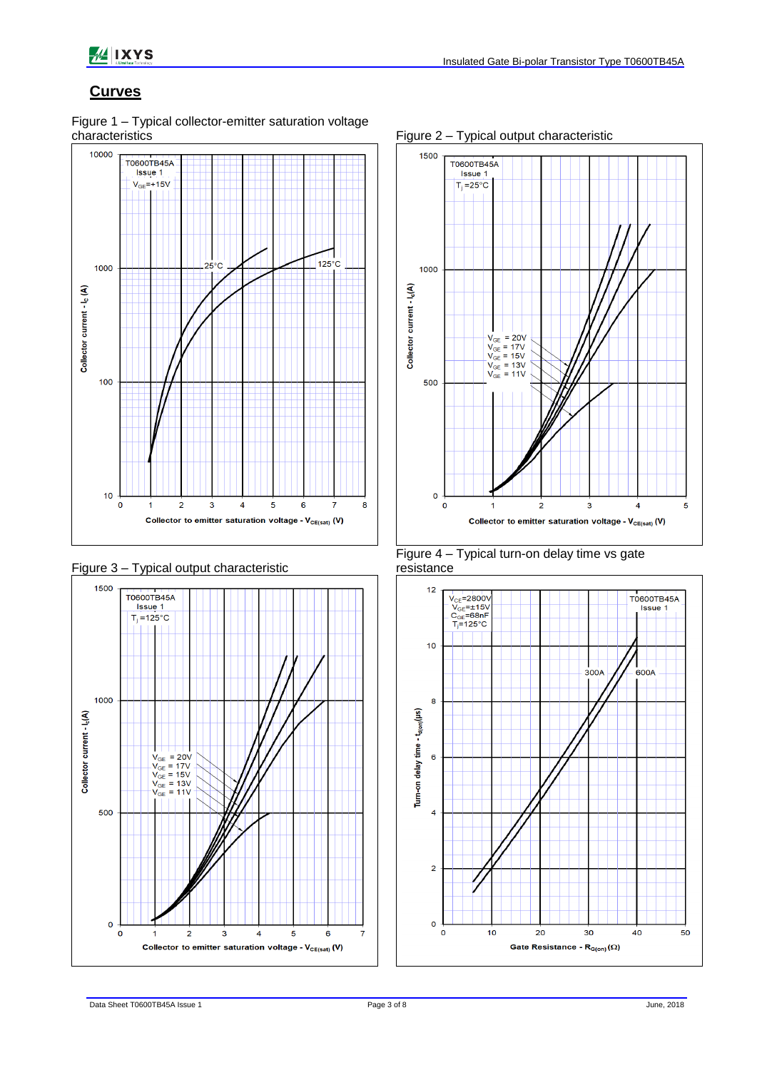

#### **Curves**











Figure 2 – Typical output characteristic

#### Figure 4 – Typical turn-on delay time vs gate resistance

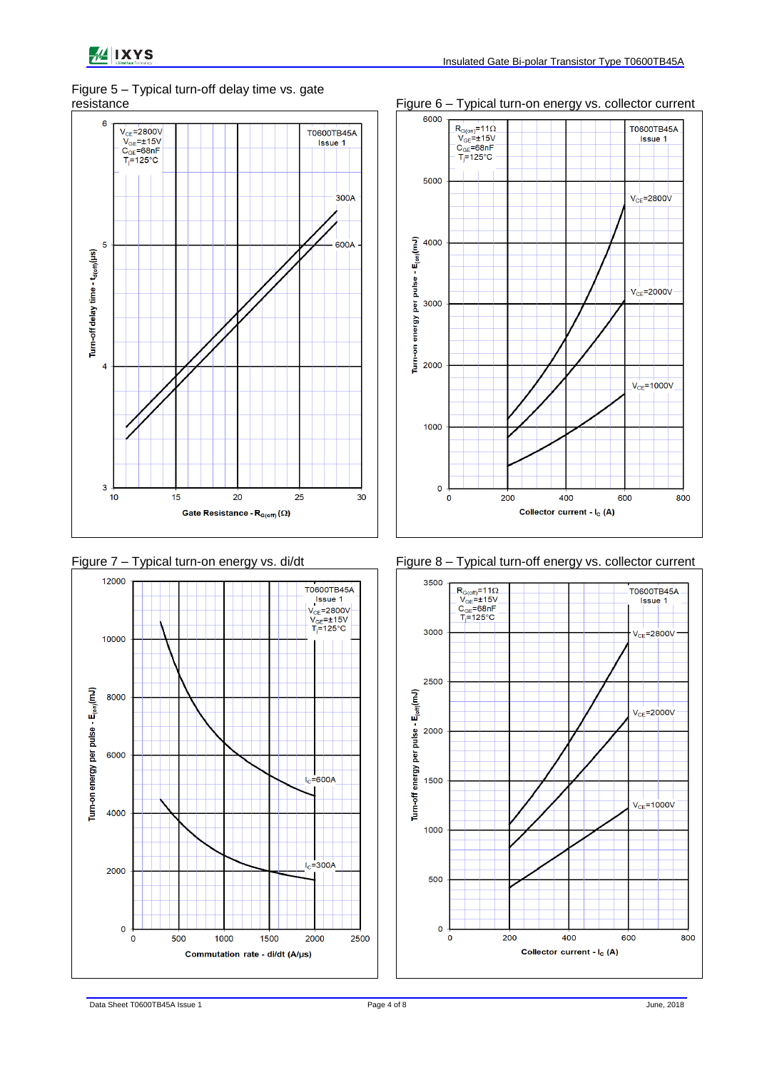## Figure 5 – Typical turn-off delay time vs. gate









Figure 7 – Typical turn-on energy vs. di/dt Figure 8 – Typical turn-off energy vs. collector current

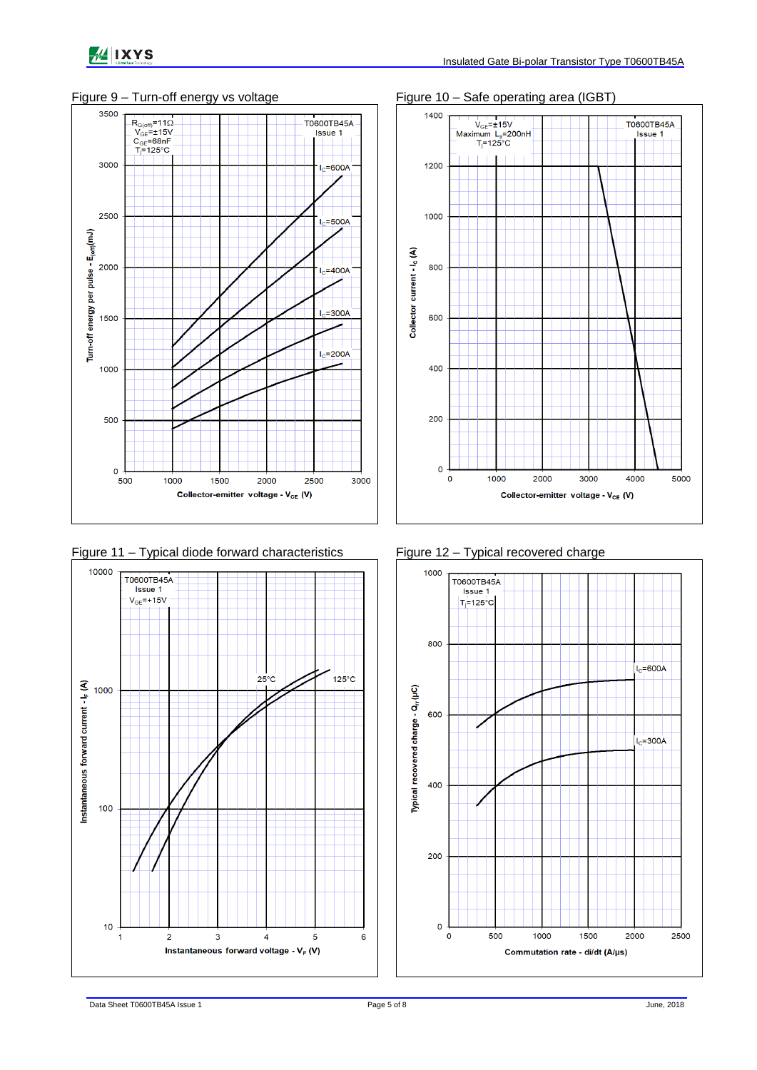



Figure 11 – Typical diode forward characteristics Figure 12 – Typical recovered charge







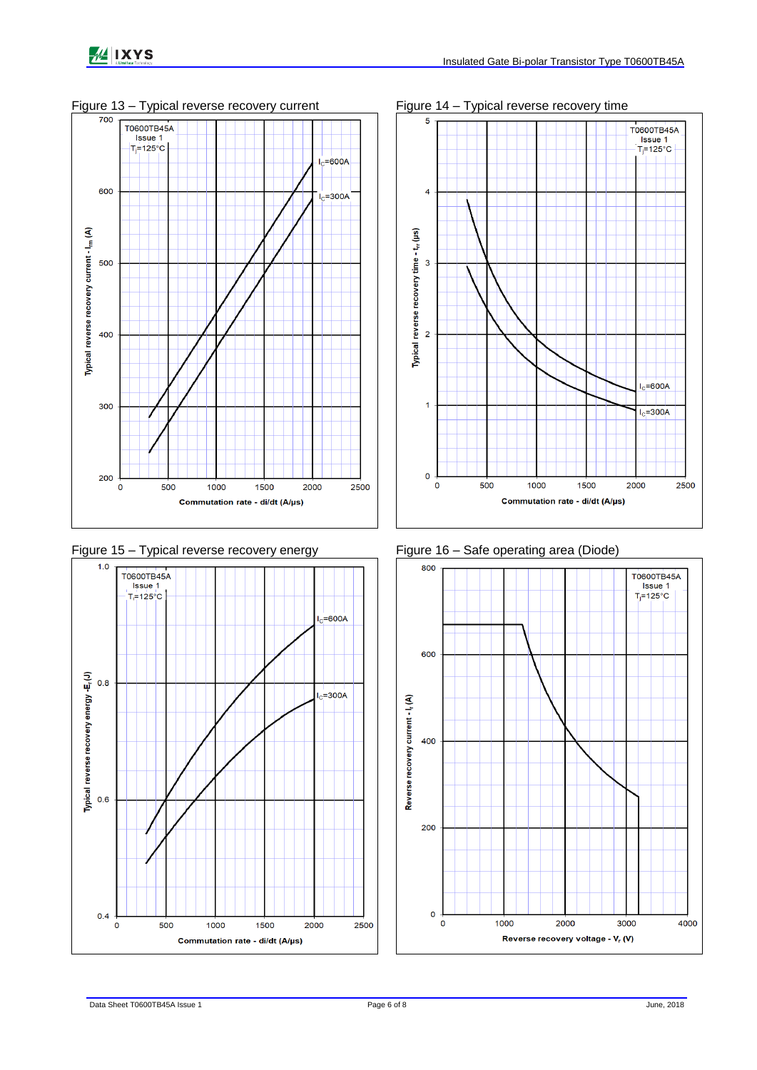











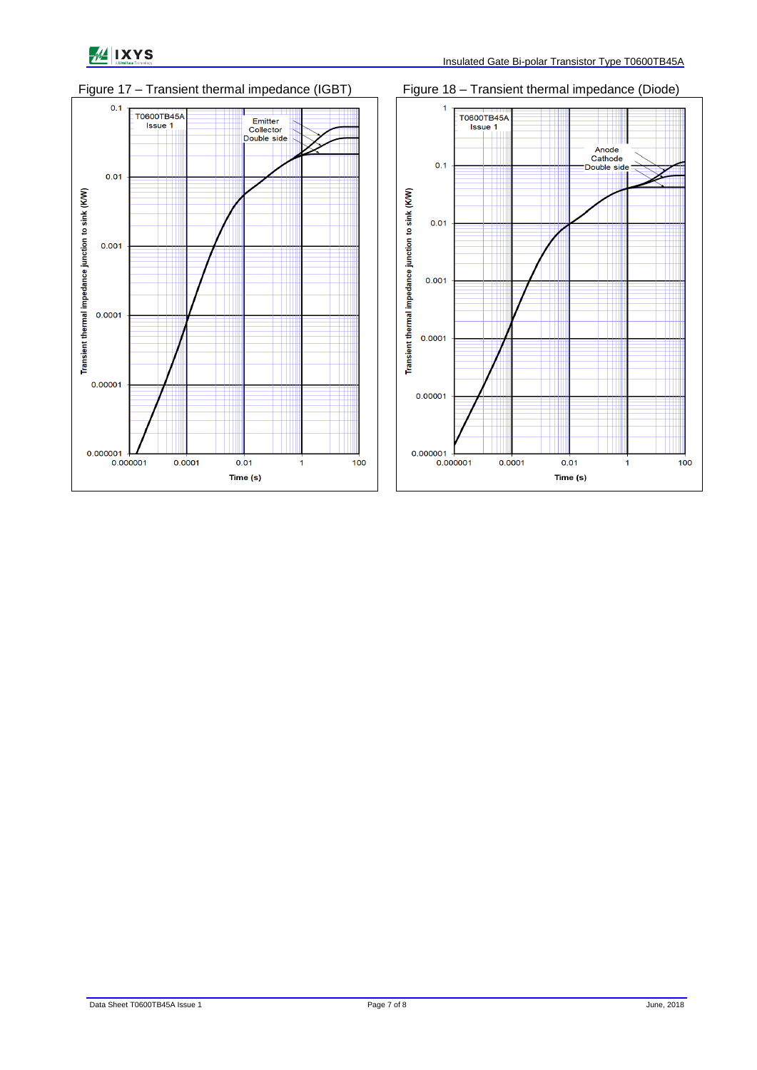



Figure 17 – Transient thermal impedance (IGBT) Figure 18 – Transient thermal impedance (Diode)

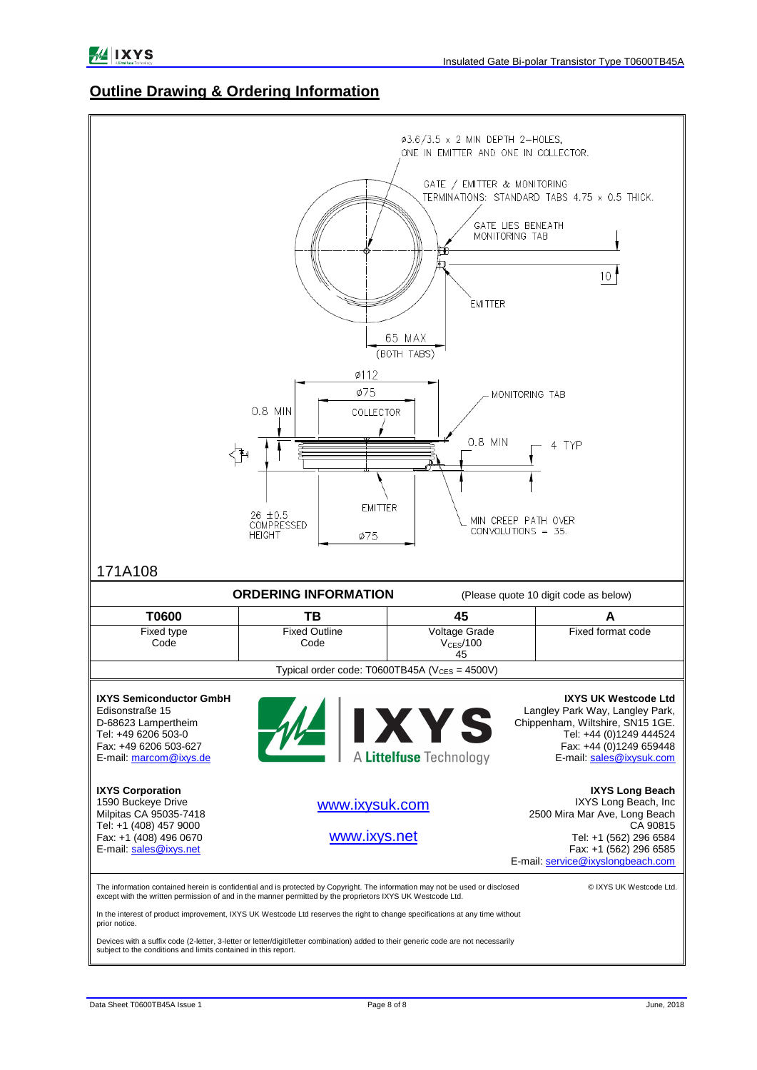#### **Outline Drawing & Ordering Information**